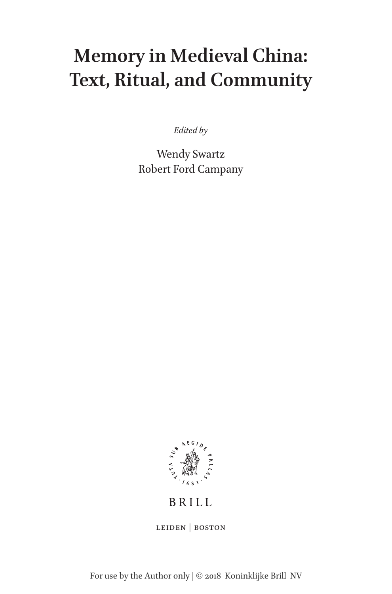# **Memory in Medieval China: Text, Ritual, and Community**

*Edited by*

Wendy Swartz Robert Ford Campany



### **BRILL**

LEIDEN | BOSTON

<span id="page-0-0"></span>For use by the Author only | © 2018 Koninklijke Brill NV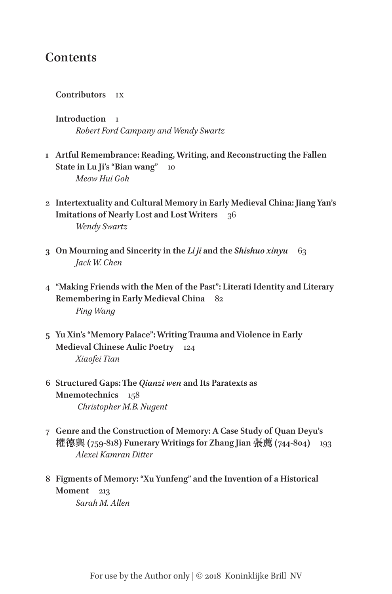### <span id="page-1-0"></span>**Contents**

**Contributors** ix

**Introduction** 1 *Robert Ford Campany and Wendy Swartz*

- **1 Artful Remembrance: Reading, Writing, and Reconstructing the Fallen State in Lu Ji's "Bian wang"** 10 *Meow Hui Goh*
- **2 Intertextuality and Cultural Memory in Early Medieval China: Jiang Yan's Imitations of Nearly Lost and Lost Writers** 36 *Wendy Swartz*
- **3 On Mourning and Sincerity in the** *Li ji* **and the** *Shishuo xinyu* 63 *Jack W. Chen*
- **4 "Making Friends with the Men of the Past": Literati Identity and Literary Remembering in Early Medieval China** 82 *Ping Wang*
- **5 Yu Xin's "Memory Palace": Writing Trauma and Violence in Early Medieval Chinese Aulic Poetry** 124 *Xiaofei Tian*
- **6 Structured Gaps: The** *Qianzi wen* **and Its Paratexts as Mnemotechnics** 158 *Christopher M.B. Nugent*
- **7 Genre and the Construction of Memory: A Case Study of Quan Deyu's**  權德輿 **(759-818) Funerary Writings for Zhang Jian** 張薦 **(744-804)** 193 *Alexei Kamran Ditter*
- **8 Figments of Memory: "Xu Yunfeng" and the Invention of a Historical Moment** 213 *Sarah M. Allen*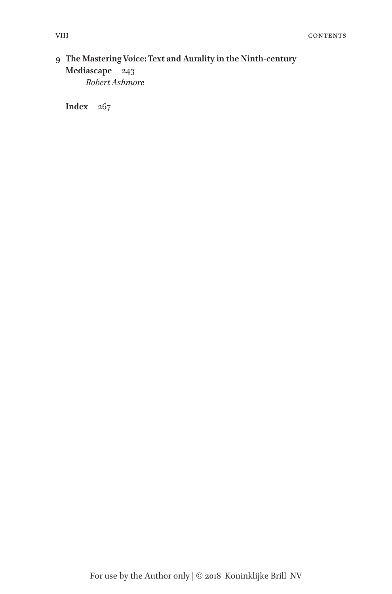### **9 The Mastering Voice: Text and Aurality in the Ninth-century Mediascape** 243 *Robert Ashmore*

**Index** 267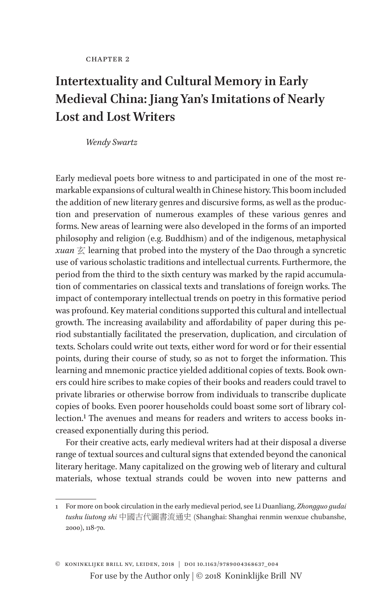## **Intertextuality and Cultural Memory in Early Medieval China: Jiang Yan's Imitations of Nearly Lost and Lost Writers**

*Wendy Swartz*

Early medieval poets bore witness to and participated in one of the most remarkable expansions of cultural wealth in Chinese history. This boom included the addition of new literary genres and discursive forms, as well as the production and preservation of numerous examples of these various genres and forms. New areas of learning were also developed in the forms of an imported philosophy and religion (e.g. Buddhism) and of the indigenous, metaphysical *xuan*  $\overline{\mathcal{Z}}$  learning that probed into the mystery of the Dao through a syncretic use of various scholastic traditions and intellectual currents. Furthermore, the period from the third to the sixth century was marked by the rapid accumulation of commentaries on classical texts and translations of foreign works. The impact of contemporary intellectual trends on poetry in this formative period was profound. Key material conditions supported this cultural and intellectual growth. The increasing availability and affordability of paper during this period substantially facilitated the preservation, duplication, and circulation of texts. Scholars could write out texts, either word for word or for their essential points, during their course of study, so as not to forget the information. This learning and mnemonic practice yielded additional copies of texts. Book owners could hire scribes to make copies of their books and readers could travel to private libraries or otherwise borrow from individuals to transcribe duplicate copies of books. Even poorer households could boast some sort of library collection.1 The avenues and means for readers and writers to access books increased exponentially during this period.

For their creative acts, early medieval writers had at their disposal a diverse range of textual sources and cultural signs that extended beyond the canonical literary heritage. Many capitalized on the growing web of literary and cultural materials, whose textual strands could be woven into new patterns and

© Koninklijke Brill NV, Leiden, 2018 | doi 10.1163/9789004368637\_004 For use by the Author only | © 2018 Koninklijke Brill NV

<sup>1</sup> For more on book circulation in the early medieval period, see Li Duanliang, *Zhongguo gudai tushu liutong shi* 中國古代圖書流通史 (Shanghai: Shanghai renmin wenxue chubanshe, 2000), 118-70.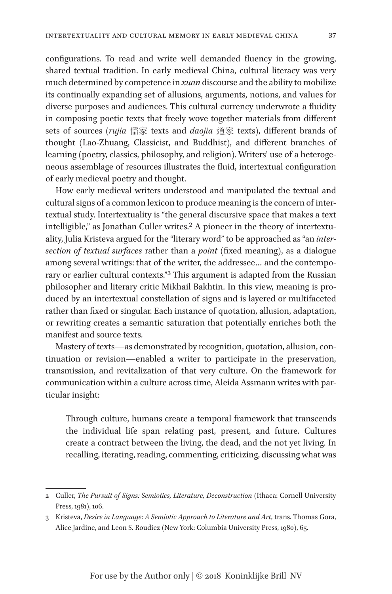configurations. To read and write well demanded fluency in the growing, shared textual tradition. In early medieval China, cultural literacy was very much determined by competence in *xuan* discourse and the ability to mobilize its continually expanding set of allusions, arguments, notions, and values for diverse purposes and audiences. This cultural currency underwrote a fluidity in composing poetic texts that freely wove together materials from different sets of sources (*rujia* 儒家 texts and *daojia* 道家 texts), different brands of thought (Lao-Zhuang, Classicist, and Buddhist), and different branches of learning (poetry, classics, philosophy, and religion). Writers' use of a heterogeneous assemblage of resources illustrates the fluid, intertextual configuration of early medieval poetry and thought.

How early medieval writers understood and manipulated the textual and cultural signs of a common lexicon to produce meaning is the concern of intertextual study. Intertextuality is "the general discursive space that makes a text intelligible," as Jonathan Culler writes.2 A pioneer in the theory of intertextuality, Julia Kristeva argued for the "literary word" to be approached as "an *intersection of textual surfaces* rather than a *point* (fixed meaning), as a dialogue among several writings: that of the writer, the addressee… and the contemporary or earlier cultural contexts."<sup>3</sup> This argument is adapted from the Russian philosopher and literary critic Mikhail Bakhtin. In this view, meaning is produced by an intertextual constellation of signs and is layered or multifaceted rather than fixed or singular. Each instance of quotation, allusion, adaptation, or rewriting creates a semantic saturation that potentially enriches both the manifest and source texts.

Mastery of texts—as demonstrated by recognition, quotation, allusion, continuation or revision—enabled a writer to participate in the preservation, transmission, and revitalization of that very culture. On the framework for communication within a culture across time, Aleida Assmann writes with particular insight:

Through culture, humans create a temporal framework that transcends the individual life span relating past, present, and future. Cultures create a contract between the living, the dead, and the not yet living. In recalling, iterating, reading, commenting, criticizing, discussing what was

<sup>2</sup> Culler, *The Pursuit of Signs: Semiotics, Literature, Deconstruction* (Ithaca: Cornell University Press, 1981), 106.

<sup>3</sup> Kristeva, *Desire in Language: A Semiotic Approach to Literature and Art*, trans. Thomas Gora, Alice Jardine, and Leon S. Roudiez (New York: Columbia University Press, 1980), 65.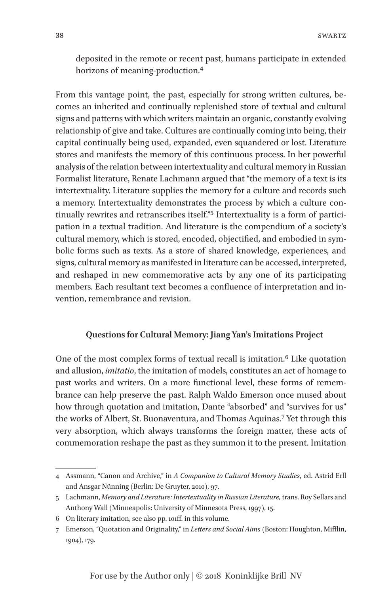deposited in the remote or recent past, humans participate in extended horizons of meaning-production.<sup>4</sup>

From this vantage point, the past, especially for strong written cultures, becomes an inherited and continually replenished store of textual and cultural signs and patterns with which writers maintain an organic, constantly evolving relationship of give and take. Cultures are continually coming into being, their capital continually being used, expanded, even squandered or lost. Literature stores and manifests the memory of this continuous process. In her powerful analysis of the relation between intertextuality and cultural memory in Russian Formalist literature, Renate Lachmann argued that "the memory of a text is its intertextuality. Literature supplies the memory for a culture and records such a memory. Intertextuality demonstrates the process by which a culture continually rewrites and retranscribes itself."5 Intertextuality is a form of participation in a textual tradition. And literature is the compendium of a society's cultural memory, which is stored, encoded, objectified, and embodied in symbolic forms such as texts. As a store of shared knowledge, experiences, and signs, cultural memory as manifested in literature can be accessed, interpreted, and reshaped in new commemorative acts by any one of its participating members. Each resultant text becomes a confluence of interpretation and invention, remembrance and revision.

#### **Questions for Cultural Memory: Jiang Yan's Imitations Project**

One of the most complex forms of textual recall is imitation.<sup>6</sup> Like quotation and allusion, *imitatio*, the imitation of models, constitutes an act of homage to past works and writers. On a more functional level, these forms of remembrance can help preserve the past. Ralph Waldo Emerson once mused about how through quotation and imitation, Dante "absorbed" and "survives for us" the works of Albert, St. Buonaventura, and Thomas Aquinas.7 Yet through this very absorption, which always transforms the foreign matter, these acts of commemoration reshape the past as they summon it to the present. Imitation

<sup>4</sup> Assmann, "Canon and Archive," in *A Companion to Cultural Memory Studies*, ed. Astrid Erll and Ansgar Nünning (Berlin: De Gruyter, 2010), 97.

<sup>5</sup> Lachmann, *Memory and Literature: Intertextuality in Russian Literature,* trans. Roy Sellars and Anthony Wall (Minneapolis: University of Minnesota Press, 1997), 15.

<sup>6</sup> On literary imitation, see also pp. 101ff. in this volume.

<sup>7</sup> Emerson, "Quotation and Originality," in *Letters and Social Aims* (Boston: Houghton, Mifflin, 1904), 179.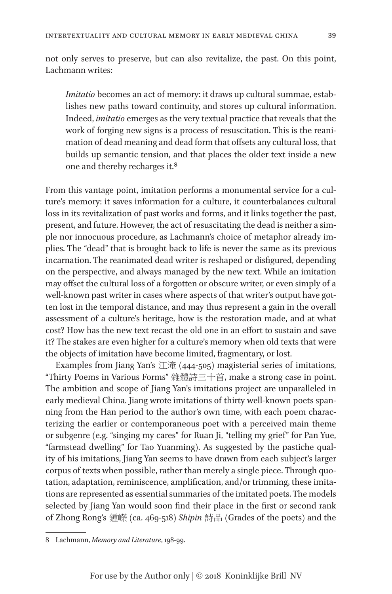not only serves to preserve, but can also revitalize, the past. On this point, Lachmann writes:

*Imitatio* becomes an act of memory: it draws up cultural summae, establishes new paths toward continuity, and stores up cultural information. Indeed, *imitatio* emerges as the very textual practice that reveals that the work of forging new signs is a process of resuscitation. This is the reanimation of dead meaning and dead form that offsets any cultural loss, that builds up semantic tension, and that places the older text inside a new one and thereby recharges it.8

From this vantage point, imitation performs a monumental service for a culture's memory: it saves information for a culture, it counterbalances cultural loss in its revitalization of past works and forms, and it links together the past, present, and future. However, the act of resuscitating the dead is neither a simple nor innocuous procedure, as Lachmann's choice of metaphor already implies. The "dead" that is brought back to life is never the same as its previous incarnation. The reanimated dead writer is reshaped or disfigured, depending on the perspective, and always managed by the new text. While an imitation may offset the cultural loss of a forgotten or obscure writer, or even simply of a well-known past writer in cases where aspects of that writer's output have gotten lost in the temporal distance, and may thus represent a gain in the overall assessment of a culture's heritage, how is the restoration made, and at what cost? How has the new text recast the old one in an effort to sustain and save it? The stakes are even higher for a culture's memory when old texts that were the objects of imitation have become limited, fragmentary, or lost.

Examples from Jiang Yan's 江淹 (444-505) magisterial series of imitations, "Thirty Poems in Various Forms" 雜體詩三十首, make a strong case in point. The ambition and scope of Jiang Yan's imitations project are unparalleled in early medieval China. Jiang wrote imitations of thirty well-known poets spanning from the Han period to the author's own time, with each poem characterizing the earlier or contemporaneous poet with a perceived main theme or subgenre (e.g. "singing my cares" for Ruan Ji, "telling my grief" for Pan Yue, "farmstead dwelling" for Tao Yuanming). As suggested by the pastiche quality of his imitations, Jiang Yan seems to have drawn from each subject's larger corpus of texts when possible, rather than merely a single piece. Through quotation, adaptation, reminiscence, amplification, and/or trimming, these imitations are represented as essential summaries of the imitated poets. The models selected by Jiang Yan would soon find their place in the first or second rank of Zhong Rong's 鍾嶸 (ca. 469-518) *Shipin* 詩品 (Grades of the poets) and the

<sup>8</sup> Lachmann, *Memory and Literature*, 198-99.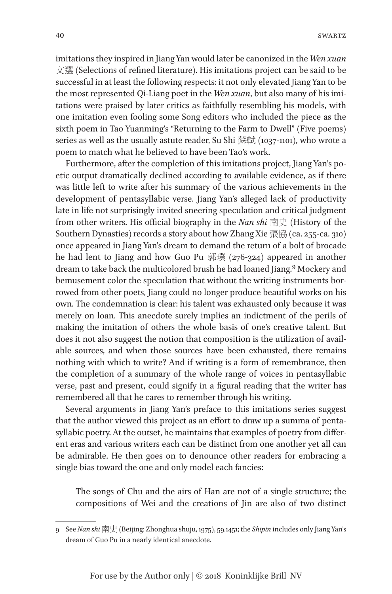imitations they inspired in Jiang Yan would later be canonized in the *Wen xuan*  文選 (Selections of refined literature). His imitations project can be said to be successful in at least the following respects: it not only elevated Jiang Yan to be the most represented Qi-Liang poet in the *Wen xuan*, but also many of his imitations were praised by later critics as faithfully resembling his models, with one imitation even fooling some Song editors who included the piece as the sixth poem in Tao Yuanming's "Returning to the Farm to Dwell" (Five poems) series as well as the usually astute reader, Su Shi 蘇軾 (1037-1101), who wrote a poem to match what he believed to have been Tao's work.

Furthermore, after the completion of this imitations project, Jiang Yan's poetic output dramatically declined according to available evidence, as if there was little left to write after his summary of the various achievements in the development of pentasyllabic verse. Jiang Yan's alleged lack of productivity late in life not surprisingly invited sneering speculation and critical judgment from other writers. His official biography in the *Nan shi* 南史 (History of the Southern Dynasties) records a story about how Zhang Xie 張協 (ca. 255-ca. 310) once appeared in Jiang Yan's dream to demand the return of a bolt of brocade he had lent to Jiang and how Guo Pu 郭璞 (276-324) appeared in another dream to take back the multicolored brush he had loaned Jiang.9 Mockery and bemusement color the speculation that without the writing instruments borrowed from other poets, Jiang could no longer produce beautiful works on his own. The condemnation is clear: his talent was exhausted only because it was merely on loan. This anecdote surely implies an indictment of the perils of making the imitation of others the whole basis of one's creative talent. But does it not also suggest the notion that composition is the utilization of available sources, and when those sources have been exhausted, there remains nothing with which to write? And if writing is a form of remembrance, then the completion of a summary of the whole range of voices in pentasyllabic verse, past and present, could signify in a figural reading that the writer has remembered all that he cares to remember through his writing.

Several arguments in Jiang Yan's preface to this imitations series suggest that the author viewed this project as an effort to draw up a summa of pentasyllabic poetry. At the outset, he maintains that examples of poetry from different eras and various writers each can be distinct from one another yet all can be admirable. He then goes on to denounce other readers for embracing a single bias toward the one and only model each fancies:

The songs of Chu and the airs of Han are not of a single structure; the compositions of Wei and the creations of Jin are also of two distinct

<sup>9</sup> See *Nan shi* 南史 (Beijing: Zhonghua shuju, 1975), 59.1451; the *Shipin* includes only Jiang Yan's dream of Guo Pu in a nearly identical anecdote.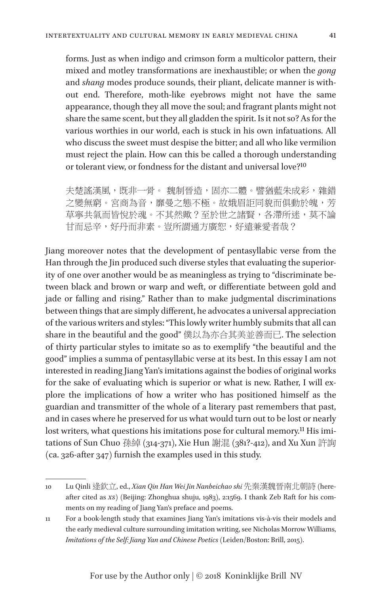forms. Just as when indigo and crimson form a multicolor pattern, their mixed and motley transformations are inexhaustible; or when the *gong* and *shang* modes produce sounds, their pliant, delicate manner is without end. Therefore, moth-like eyebrows might not have the same appearance, though they all move the soul; and fragrant plants might not share the same scent, but they all gladden the spirit. Is it not so? As for the various worthies in our world, each is stuck in his own infatuations. All who discuss the sweet must despise the bitter; and all who like vermilion must reject the plain. How can this be called a thorough understanding or tolerant view, or fondness for the distant and universal love?10

夫楚謠漢風,既非一骨。 魏制晉造,固亦二體。譬猶藍朱成彩,雜錯 之變無窮。宮商為音,靡曼之態不極。故娥眉詎同貌而俱動於魄,芳 草寧共氣而皆悅於魂。不其然歟?至於世之諸腎,各滯所迷,莫不論 甘而忌辛,好丹而非素。豈所謂通方廣恕,好遠兼愛者哉?

Jiang moreover notes that the development of pentasyllabic verse from the Han through the Jin produced such diverse styles that evaluating the superiority of one over another would be as meaningless as trying to "discriminate between black and brown or warp and weft, or differentiate between gold and jade or falling and rising." Rather than to make judgmental discriminations between things that are simply different, he advocates a universal appreciation of the various writers and styles: "This lowly writer humbly submits that all can share in the beautiful and the good" 僕以為亦合其美並善而已. The selection of thirty particular styles to imitate so as to exemplify "the beautiful and the good" implies a summa of pentasyllabic verse at its best. In this essay I am not interested in reading Jiang Yan's imitations against the bodies of original works for the sake of evaluating which is superior or what is new. Rather, I will explore the implications of how a writer who has positioned himself as the guardian and transmitter of the whole of a literary past remembers that past, and in cases where he preserved for us what would turn out to be lost or nearly lost writers, what questions his imitations pose for cultural memory.<sup>11</sup> His imitations of Sun Chuo 孫綽 (314-371), Xie Hun 謝混 (381?-412), and Xu Xun 許詢 (ca. 326-after 347) furnish the examples used in this study.

<sup>10</sup> Lu Qinli 逯欽立, ed., *Xian Qin Han Wei Jin Nanbeichao shi* 先秦漢魏晉南北朝詩 (hereafter cited as *XS*) (Beijing: Zhonghua shuju, 1983), 2:1569. I thank Zeb Raft for his comments on my reading of Jiang Yan's preface and poems.

<sup>11</sup> For a book-length study that examines Jiang Yan's imitations vis-à-vis their models and the early medieval culture surrounding imitation writing, see Nicholas Morrow Williams, *Imitations of the Self: Jiang Yan and Chinese Poetics* (Leiden/Boston: Brill, 2015).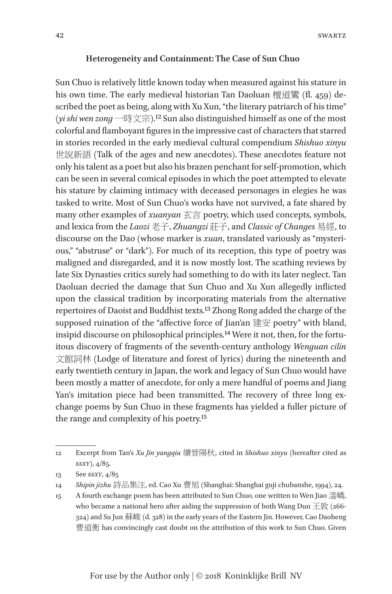#### **Heterogeneity and Containment: The Case of Sun Chuo**

<span id="page-9-0"></span>Sun Chuo is relatively little known today when measured against his stature in his own time. The early medieval historian Tan Daoluan 檀道鸞 (fl. 459) described the poet as being, along with Xu Xun, "the literary patriarch of his time" (*yi shi wen zong* 一時文宗).12 Sun also distinguished himself as one of the most colorful and flamboyant figures in the impressive cast of characters that starred in stories recorded in the early medieval cultural compendium *Shishuo xinyu* 世說新語 (Talk of the ages and new anecdotes). These anecdotes feature not only his talent as a poet but also his brazen penchant for self-promotion, which can be seen in several comical episodes in which the poet attempted to elevate his stature by claiming intimacy with deceased personages in elegies he was tasked to write. Most of Sun Chuo's works have not survived, a fate shared by many other examples of *xuanyan* 玄言 poetry, which used concepts, symbols, and lexica from the *Laozi* 老子, *Zhuangzi* 莊子, and *Classic of Changes* 易經, to discourse on the Dao (whose marker is *xuan*, translated variously as "mysterious," "abstruse" or "dark"). For much of its reception, this type of poetry was maligned and disregarded, and it is now mostly lost. The scathing reviews by late Six Dynasties critics surely had something to do with its later neglect. Tan Daoluan decried the damage that Sun Chuo and Xu Xun allegedly inflicted upon the classical tradition by incorporating materials from the alternative repertoires of Daoist and Buddhist texts.13 Zhong Rong added the charge of the supposed ruination of the "affective force of Jian'an 建安 poetry" with bland, insipid discourse on philosophical principles.14 Were it not, then, for the fortuitous discovery of fragments of the seventh-century anthology *Wenguan cilin* 文館詞林 (Lodge of literature and forest of lyrics) during the nineteenth and early twentieth century in Japan, the work and legacy of Sun Chuo would have been mostly a matter of anecdote, for only a mere handful of poems and Jiang Yan's imitation piece had been transmitted. The recovery of three long exchange poems by Sun Chuo in these fragments has yielded a fuller picture of the range and complexity of his poetry.15

<sup>12</sup> Excerpt from Tan's *Xu Jin yangqiu* 續晉陽秋, cited in *Shishuo xinyu* (hereafter cited as *SSXY*), 4/85.

<sup>13</sup> See *SSXY*, 4/85

<sup>14</sup> *Shipin jizhu* 詩品集注, ed. Cao Xu 曹旭 (Shanghai: Shanghai guji chubanshe, 1994), 24.

<sup>15</sup> A fourth exchange poem has been attributed to Sun Chuo, one written to Wen Jiao 溫嶠, who became a national hero after aiding the suppression of both Wang Dun 王敦 (266-324) and Su Jun 蘇峻 (d. 328) in the early years of the Eastern Jin. However, Cao Daoheng 曹道衡 has convincingly cast doubt on the attribution of this work to Sun Chuo. Given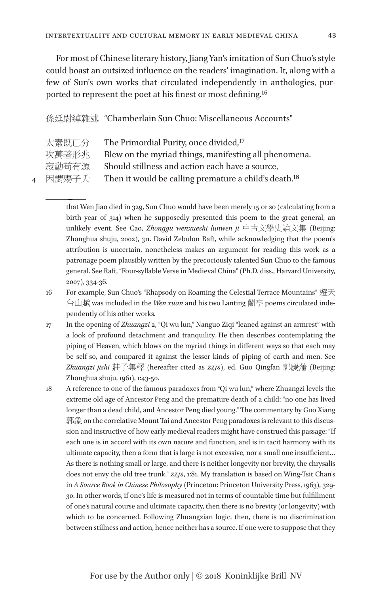For most of Chinese literary history, Jiang Yan's imitation of Sun Chuo's style could boast an outsized influence on the readers' imagination. It, along with a few of Sun's own works that circulated independently in anthologies, purported to represent the poet at his finest or most defining.16

孫廷尉綽雜述 "Chamberlain Sun Chuo: Miscellaneous Accounts"

|                | 太素既已分 | The Primordial Purity, once divided, <sup>17</sup>                |
|----------------|-------|-------------------------------------------------------------------|
|                | 吹萬著形兆 | Blew on the myriad things, manifesting all phenomena.             |
|                | 寂動苟有源 | Should stillness and action each have a source,                   |
| $\overline{A}$ | 因謂殤子夭 | Then it would be calling premature a child's death. <sup>18</sup> |

that Wen Jiao died in 329, Sun Chuo would have been merely 15 or so (calculating from a birth year of 314) when he supposedly presented this poem to the great general, an unlikely event. See Cao, *Zhonggu wenxueshi lunwen ji* 中古文學史論文集 (Beijing: Zhonghua shuju, 2002), 311. David Zebulon Raft, while acknowledging that the poem's attribution is uncertain, nonetheless makes an argument for reading this work as a patronage poem plausibly written by the precociously talented Sun Chuo to the famous general. See Raft, "Four-syllable Verse in Medieval China" (Ph.D. diss., Harvard University, 2007), 334-36.

16 For example, Sun Chuo's "Rhapsody on Roaming the Celestial Terrace Mountains" 遊天 台山賦 was included in the *Wen xuan* and his two Lanting 蘭亭 poems circulated independently of his other works.

17 In the opening of *Zhuangzi* 2, "Qi wu lun," Nanguo Ziqi "leaned against an armrest" with a look of profound detachment and tranquility. He then describes contemplating the piping of Heaven, which blows on the myriad things in different ways so that each may be self-so, and compared it against the lesser kinds of piping of earth and men. See *Zhuangzi jishi* 莊子集釋 (hereafter cited as *ZZJS*), ed. Guo Qingfan 郭慶藩 (Beijing: Zhonghua shuju, 1961), 1:43-50.

18 A reference to one of the famous paradoxes from "Qi wu lun," where Zhuangzi levels the extreme old age of Ancestor Peng and the premature death of a child: "no one has lived longer than a dead child, and Ancestor Peng died young." The commentary by Guo Xiang 郭象 on the correlative Mount Tai and Ancestor Peng paradoxes is relevant to this discussion and instructive of how early medieval readers might have construed this passage: "If each one is in accord with its own nature and function, and is in tacit harmony with its ultimate capacity, then a form that is large is not excessive, nor a small one insufficient… As there is nothing small or large, and there is neither longevity nor brevity, the chrysalis does not envy the old tree trunk." *ZZJS*, 1:81. My translation is based on Wing-Tsit Chan's in *A Source Book in Chinese Philosophy* (Princeton: Princeton University Press, 1963), 329- 30. In other words, if one's life is measured not in terms of countable time but fulfillment of one's natural course and ultimate capacity, then there is no brevity (or longevity) with which to be concerned. Following Zhuangzian logic, then, there is no discrimination between stillness and action, hence neither has a source. If one were to suppose that they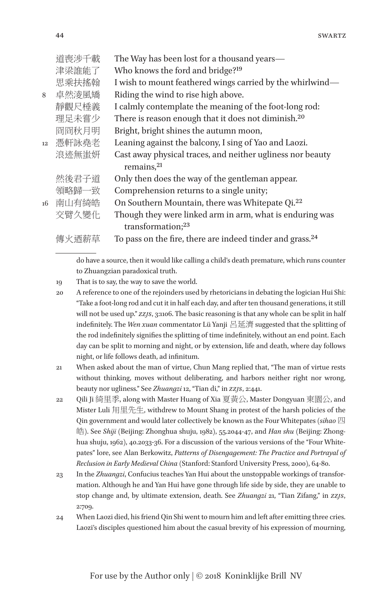|    | 道喪涉千載    | The Way has been lost for a thousand years-                           |
|----|----------|-----------------------------------------------------------------------|
|    | 津梁誰能了    | Who knows the ford and bridge? <sup>19</sup>                          |
|    | 思乘扶搖翰    | I wish to mount feathered wings carried by the whirlwind-             |
| 8  | 卓然凌風矯    | Riding the wind to rise high above.                                   |
|    | 靜觀尺棰義    | I calmly contemplate the meaning of the foot-long rod:                |
|    | 理足未嘗少    | There is reason enough that it does not diminish. <sup>20</sup>       |
|    | 冏冏秋月明    | Bright, bright shines the autumn moon,                                |
| 12 | 憑軒詠堯老    | Leaning against the balcony, I sing of Yao and Laozi.                 |
|    | 浪迹無蚩妍    | Cast away physical traces, and neither ugliness nor beauty            |
|    |          | remains, <sup>21</sup>                                                |
|    | 然後君子道    | Only then does the way of the gentleman appear.                       |
|    | 領略歸一致    | Comprehension returns to a single unity;                              |
|    | 16 南山有綺皓 | On Southern Mountain, there was Whitepate Qi. <sup>22</sup>           |
|    | 交臂久變化    | Though they were linked arm in arm, what is enduring was              |
|    |          | transformation; <sup>23</sup>                                         |
|    | 傳火迺薪草    | To pass on the fire, there are indeed tinder and grass. <sup>24</sup> |
|    |          |                                                                       |

do have a source, then it would like calling a child's death premature, which runs counter to Zhuangzian paradoxical truth.

19 That is to say, the way to save the world.

- 20 A reference to one of the rejoinders used by rhetoricians in debating the logician Hui Shi: "Take a foot-long rod and cut it in half each day, and after ten thousand generations, it still will not be used up." *ZZJS*, 3:1106. The basic reasoning is that any whole can be split in half indefinitely. The *Wen xuan* commentator Lü Yanji 呂延濟 suggested that the splitting of the rod indefinitely signifies the splitting of time indefinitely, without an end point. Each day can be split to morning and night, or by extension, life and death, where day follows night, or life follows death, ad infinitum.
- 21 When asked about the man of virtue, Chun Mang replied that, "The man of virtue rests without thinking, moves without deliberating, and harbors neither right nor wrong, beauty nor ugliness." See *Zhuangzi* 12, "Tian di," in *ZZJS*, 2:441.
- 22 Qili Ji 綺里季, along with Master Huang of Xia 夏黃公, Master Dongyuan 東園公, and Mister Luli 甪里先生, withdrew to Mount Shang in protest of the harsh policies of the Qin government and would later collectively be known as the Four Whitepates (*sihao* 四 皓). See *Shiji* (Beijing: Zhonghua shuju, 1982), 55.2044-47, and *Han shu* (Beijing: Zhonghua shuju, 1962), 40.2033-36. For a discussion of the various versions of the "Four Whitepates" lore, see Alan Berkowitz, *Patterns of Disengagement: The Practice and Portrayal of Reclusion in Early Medieval China* (Stanford: Stanford University Press, 2000), 64-80.
- 23 In the *Zhuangzi*, Confucius teaches Yan Hui about the unstoppable workings of transformation. Although he and Yan Hui have gone through life side by side, they are unable to stop change and, by ultimate extension, death. See *Zhuangzi* 21, "Tian Zifang," in *ZZJS*, 2:709.
- 24 When Laozi died, his friend Qin Shi went to mourn him and left after emitting three cries. Laozi's disciples questioned him about the casual brevity of his expression of mourning,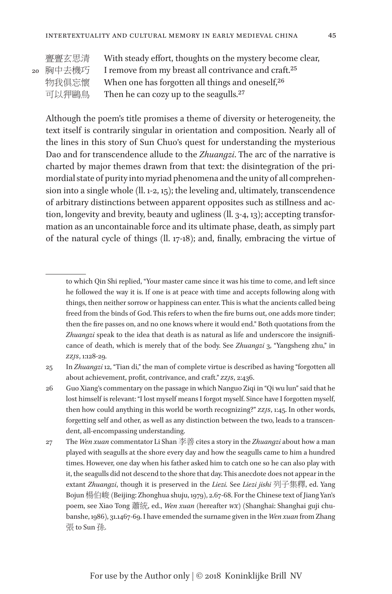**亹亹玄思清 With steady effort, thoughts on the mystery become clear,** 20 胸中去機巧 I remove from my breast all contrivance and craft.<sup>25</sup> 物我俱忘懷 When one has forgotten all things and oneself,<sup>26</sup> 可以狎鷗鳥 Then he can cozy up to the seagulls.<sup>27</sup>

Although the poem's title promises a theme of diversity or heterogeneity, the text itself is contrarily singular in orientation and composition. Nearly all of the lines in this story of Sun Chuo's quest for understanding the mysterious Dao and for transcendence allude to the *Zhuangzi*. The arc of the narrative is charted by major themes drawn from that text: the disintegration of the primordial state of purity into myriad phenomena and the unity of all comprehension into a single whole (ll. 1-2, 15); the leveling and, ultimately, transcendence of arbitrary distinctions between apparent opposites such as stillness and action, longevity and brevity, beauty and ugliness (ll. 3-4, 13); accepting transformation as an uncontainable force and its ultimate phase, death, as simply part of the natural cycle of things (ll. 17-18); and, finally, embracing the virtue of

to which Qin Shi replied, "Your master came since it was his time to come, and left since he followed the way it is. If one is at peace with time and accepts following along with things, then neither sorrow or happiness can enter. This is what the ancients called being freed from the binds of God. This refers to when the fire burns out, one adds more tinder; then the fire passes on, and no one knows where it would end." Both quotations from the *Zhuangzi* speak to the idea that death is as natural as life and underscore the insignificance of death, which is merely that of the body. See *Zhuangzi* 3, "Yangsheng zhu," in *ZZJS*, 1:128-29.

<sup>25</sup> In *Zhuangzi* 12, "Tian di," the man of complete virtue is described as having "forgotten all about achievement, profit, contrivance, and craft." *ZZJS*, 2:436.

<sup>26</sup> Guo Xiang's commentary on the passage in which Nanguo Ziqi in "Qi wu lun" said that he lost himself is relevant: "I lost myself means I forgot myself. Since have I forgotten myself, then how could anything in this world be worth recognizing?" *ZZJS*, 1:45. In other words, forgetting self and other, as well as any distinction between the two, leads to a transcendent, all-encompassing understanding.

<sup>27</sup> The *Wen xuan* commentator Li Shan 李善 cites a story in the *Zhuangzi* about how a man played with seagulls at the shore every day and how the seagulls came to him a hundred times. However, one day when his father asked him to catch one so he can also play with it, the seagulls did not descend to the shore that day. This anecdote does not appear in the extant *Zhuangzi*, though it is preserved in the *Liezi.* See *Liezi jishi* 列子集釋, ed. Yang Bojun 楊伯峻 (Beijing: Zhonghua shuju, 1979), 2.67-68. For the Chinese text of Jiang Yan's poem, see Xiao Tong 蕭統, ed., *Wen xuan* (hereafter *WX*) (Shanghai: Shanghai guji chubanshe, 1986), 31.1467-69. I have emended the surname given in the *Wen xuan* from Zhang 張 to Sun 孫.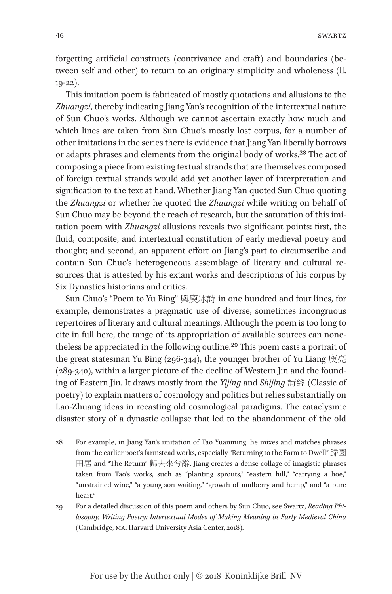forgetting artificial constructs (contrivance and craft) and boundaries (between self and other) to return to an originary simplicity and wholeness (ll. 19-22).

This imitation poem is fabricated of mostly quotations and allusions to the *Zhuangzi*, thereby indicating Jiang Yan's recognition of the intertextual nature of Sun Chuo's works. Although we cannot ascertain exactly how much and which lines are taken from Sun Chuo's mostly lost corpus, for a number of other imitations in the series there is evidence that Jiang Yan liberally borrows or adapts phrases and elements from the original body of works.28 The act of composing a piece from existing textual strands that are themselves composed of foreign textual strands would add yet another layer of interpretation and signification to the text at hand. Whether Jiang Yan quoted Sun Chuo quoting the *Zhuangzi* or whether he quoted the *Zhuangzi* while writing on behalf of Sun Chuo may be beyond the reach of research, but the saturation of this imitation poem with *Zhuangzi* allusions reveals two significant points: first, the fluid, composite, and intertextual constitution of early medieval poetry and thought; and second, an apparent effort on Jiang's part to circumscribe and contain Sun Chuo's heterogeneous assemblage of literary and cultural resources that is attested by his extant works and descriptions of his corpus by Six Dynasties historians and critics.

Sun Chuo's "Poem to Yu Bing" 與庾冰詩 in one hundred and four lines, for example, demonstrates a pragmatic use of diverse, sometimes incongruous repertoires of literary and cultural meanings. Although the poem is too long to cite in full here, the range of its appropriation of available sources can nonetheless be appreciated in the following outline.<sup>29</sup> This poem casts a portrait of the great statesman Yu Bing (296-344), the younger brother of Yu Liang 庾亮 (289-340), within a larger picture of the decline of Western Jin and the founding of Eastern Jin. It draws mostly from the *Yijing* and *Shijing* 詩經 (Classic of poetry) to explain matters of cosmology and politics but relies substantially on Lao-Zhuang ideas in recasting old cosmological paradigms. The cataclysmic disaster story of a dynastic collapse that led to the abandonment of the old

<sup>28</sup> For example, in Jiang Yan's imitation of Tao Yuanming, he mixes and matches phrases from the earlier poet's farmstead works, especially "Returning to the Farm to Dwell" 歸園 田居 and "The Return" 歸去來兮辭. Jiang creates a dense collage of imagistic phrases taken from Tao's works, such as "planting sprouts," "eastern hill," "carrying a hoe," "unstrained wine," "a young son waiting," "growth of mulberry and hemp," and "a pure heart."

<sup>29</sup> For a detailed discussion of this poem and others by Sun Chuo, see Swartz, *Reading Philosophy, Writing Poetry: Intertextual Modes of Making Meaning in Early Medieval China*  (Cambridge, MA: Harvard University Asia Center, 2018).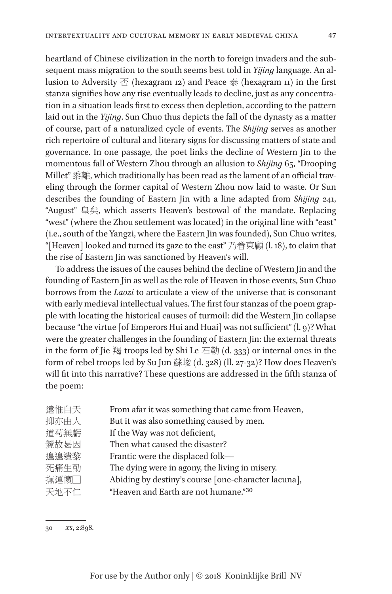heartland of Chinese civilization in the north to foreign invaders and the subsequent mass migration to the south seems best told in *Yijing* language. An allusion to Adversity  $\overline{\triangle}$  (hexagram 12) and Peace 泰 (hexagram 11) in the first stanza signifies how any rise eventually leads to decline, just as any concentration in a situation leads first to excess then depletion, according to the pattern laid out in the *Yijing*. Sun Chuo thus depicts the fall of the dynasty as a matter of course, part of a naturalized cycle of events. The *Shijing* serves as another rich repertoire of cultural and literary signs for discussing matters of state and governance. In one passage, the poet links the decline of Western Jin to the momentous fall of Western Zhou through an allusion to *Shijing* 65, "Drooping Millet" 黍離, which traditionally has been read as the lament of an official traveling through the former capital of Western Zhou now laid to waste. Or Sun describes the founding of Eastern Jin with a line adapted from *Shijing* 241, "August" 皇矣, which asserts Heaven's bestowal of the mandate. Replacing "west" (where the Zhou settlement was located) in the original line with "east" (i.e., south of the Yangzi, where the Eastern Jin was founded), Sun Chuo writes, "[Heaven] looked and turned its gaze to the east" 乃眷東顧 (l. 18), to claim that the rise of Eastern Jin was sanctioned by Heaven's will.

To address the issues of the causes behind the decline of Western Jin and the founding of Eastern Jin as well as the role of Heaven in those events, Sun Chuo borrows from the *Laozi* to articulate a view of the universe that is consonant with early medieval intellectual values. The first four stanzas of the poem grapple with locating the historical causes of turmoil: did the Western Jin collapse because "the virtue [of Emperors Hui and Huai] was not sufficient" (l. 9)? What were the greater challenges in the founding of Eastern Jin: the external threats in the form of Jie 羯 troops led by Shi Le 石勒 (d. 333) or internal ones in the form of rebel troops led by Su Jun 蘇峻 (d. 328) (ll. 27-32)? How does Heaven's will fit into this narrative? These questions are addressed in the fifth stanza of the poem:

| From afar it was something that came from Heaven,   |
|-----------------------------------------------------|
| But it was also something caused by men.            |
| If the Way was not deficient,                       |
| Then what caused the disaster?                      |
| Frantic were the displaced folk-                    |
| The dying were in agony, the living in misery.      |
| Abiding by destiny's course [one-character lacuna], |
| "Heaven and Earth are not humane."30                |
|                                                     |

30 *XS*, 2:898.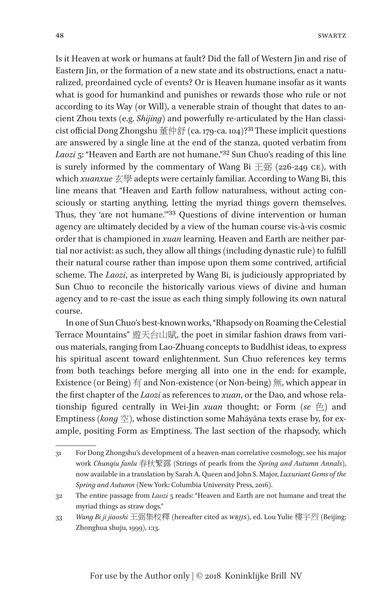Is it Heaven at work or humans at fault? Did the fall of Western Jin and rise of Eastern Jin, or the formation of a new state and its obstructions, enact a naturalized, preordained cycle of events? Or is Heaven humane insofar as it wants what is good for humankind and punishes or rewards those who rule or not according to its Way (or Will), a venerable strain of thought that dates to ancient Zhou texts (e.g. *Shijing*) and powerfully re-articulated by the Han classicist official Dong Zhongshu 董仲舒 (ca. 179-ca. 104)?<sup>31</sup> These implicit questions are answered by a single line at the end of the stanza, quoted verbatim from *Laozi* 5: "Heaven and Earth are not humane."32 Sun Chuo's reading of this line is surely informed by the commentary of Wang Bi  $\pm \frac{20}{10}$  (226-249 CE), with which *xuanxue* 玄學 adepts were certainly familiar. According to Wang Bi, this line means that "Heaven and Earth follow naturalness, without acting consciously or starting anything, letting the myriad things govern themselves. Thus, they 'are not humane.'"33 Questions of divine intervention or human agency are ultimately decided by a view of the human course vis-à-vis cosmic order that is championed in *xuan* learning. Heaven and Earth are neither partial nor activist: as such, they allow all things (including dynastic rule) to fulfill their natural course rather than impose upon them some contrived, artificial scheme. The *Laozi*, as interpreted by Wang Bi, is judiciously appropriated by Sun Chuo to reconcile the historically various views of divine and human agency and to re-cast the issue as each thing simply following its own natural course.

In one of Sun Chuo's best-known works, "Rhapsody on Roaming the Celestial Terrace Mountains" 遊天台山賦, the poet in similar fashion draws from various materials, ranging from Lao-Zhuang concepts to Buddhist ideas, to express his spiritual ascent toward enlightenment. Sun Chuo references key terms from both teachings before merging all into one in the end: for example, Existence (or Being)  $\overline{f}$  and Non-existence (or Non-being)  $\overline{f}$ , which appear in the first chapter of the *Laozi* as references to *xuan*, or the Dao, and whose relationship figured centrally in Wei-Jin *xuan* thought; or Form (*se* 色) and Emptiness (*kong* 空), whose distinction some Mahāyāna texts erase by, for example, positing Form as Emptiness. The last section of the rhapsody, which

<sup>31</sup> For Dong Zhongshu's development of a heaven-man correlative cosmology, see his major work *Chunqiu fanlu* 春秋繁露 (Strings of pearls from the *Spring and Autumn Annals*), now available in a translation by Sarah A. Queen and John S. Major, *Luxuriant Gems of the Spring and Autumn* (New York: Columbia University Press, 2016).

<sup>32</sup> The entire passage from *Laozi* 5 reads: "Heaven and Earth are not humane and treat the myriad things as straw dogs."

<sup>33</sup> *Wang Bi ji jiaoshi* 王弼集校釋 (hereafter cited as *WBJJS*), ed. Lou Yulie 樓宇烈 (Beijing: Zhonghua shuju, 1999), 1:13.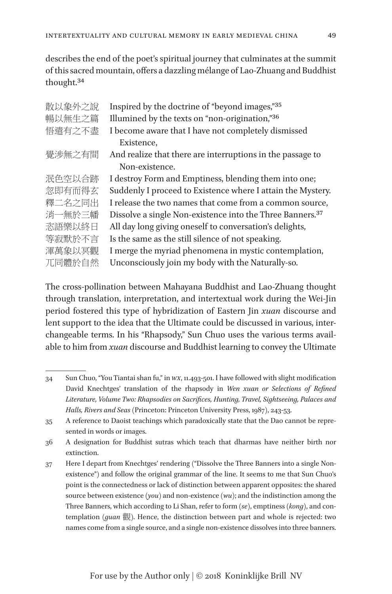describes the end of the poet's spiritual journey that culminates at the summit of this sacred mountain, offers a dazzling mélange of Lao-Zhuang and Buddhist thought.34

| 散以象外之說 | Inspired by the doctrine of "beyond images,"35                        |
|--------|-----------------------------------------------------------------------|
| 暢以無生之篇 | Illumined by the texts on "non-origination,"36                        |
| 悟遣有之不盡 | I become aware that I have not completely dismissed                   |
|        | Existence,                                                            |
| 覺涉無之有間 | And realize that there are interruptions in the passage to            |
|        | Non-existence.                                                        |
| 泯色空以合跡 | I destroy Form and Emptiness, blending them into one;                 |
| 忽即有而得玄 | Suddenly I proceed to Existence where I attain the Mystery.           |
| 釋二名之同出 | I release the two names that come from a common source,               |
| 消一無於三幡 | Dissolve a single Non-existence into the Three Banners. <sup>37</sup> |
| 恣語樂以終日 | All day long giving oneself to conversation's delights,               |
| 等寂默於不言 | Is the same as the still silence of not speaking.                     |
| 渾萬象以冥觀 | I merge the myriad phenomena in mystic contemplation,                 |
| 兀同體於自然 | Unconsciously join my body with the Naturally-so.                     |

The cross-pollination between Mahayana Buddhist and Lao-Zhuang thought through translation, interpretation, and intertextual work during the Wei-Jin period fostered this type of hybridization of Eastern Jin *xuan* discourse and lent support to the idea that the Ultimate could be discussed in various, interchangeable terms. In his "Rhapsody," Sun Chuo uses the various terms available to him from *xuan* discourse and Buddhist learning to convey the Ultimate

<sup>34</sup> Sun Chuo, "You Tiantai shan fu," in *WX*, 11.493-501. I have followed with slight modification David Knechtges' translation of the rhapsody in *Wen xuan or Selections of Refined Literature, Volume Two: Rhapsodies on Sacrifices, Hunting, Travel, Sightseeing, Palaces and Halls, Rivers and Seas* (Princeton: Princeton University Press, 1987), 243-53.

<sup>35</sup> A reference to Daoist teachings which paradoxically state that the Dao cannot be represented in words or images.

<sup>36</sup> A designation for Buddhist sutras which teach that dharmas have neither birth nor extinction.

<sup>37</sup> Here I depart from Knechtges' rendering ("Dissolve the Three Banners into a single Nonexistence") and follow the original grammar of the line. It seems to me that Sun Chuo's point is the connectedness or lack of distinction between apparent opposites: the shared source between existence (*you*) and non-existence (*wu*); and the indistinction among the Three Banners, which according to Li Shan, refer to form (*se*), emptiness (*kong*), and contemplation (*guan* 觀). Hence, the distinction between part and whole is rejected: two names come from a single source, and a single non-existence dissolves into three banners.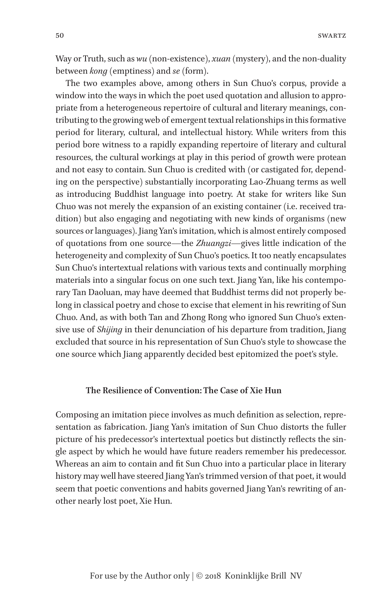Way or Truth, such as *wu* (non-existence), *xuan* (mystery), and the non-duality between *kong* (emptiness) and *se* (form).

The two examples above, among others in Sun Chuo's corpus, provide a window into the ways in which the poet used quotation and allusion to appropriate from a heterogeneous repertoire of cultural and literary meanings, contributing to the growing web of emergent textual relationships in this formative period for literary, cultural, and intellectual history. While writers from this period bore witness to a rapidly expanding repertoire of literary and cultural resources, the cultural workings at play in this period of growth were protean and not easy to contain. Sun Chuo is credited with (or castigated for, depending on the perspective) substantially incorporating Lao-Zhuang terms as well as introducing Buddhist language into poetry. At stake for writers like Sun Chuo was not merely the expansion of an existing container (i.e. received tradition) but also engaging and negotiating with new kinds of organisms (new sources or languages). Jiang Yan's imitation, which is almost entirely composed of quotations from one source—the *Zhuangzi*—gives little indication of the heterogeneity and complexity of Sun Chuo's poetics. It too neatly encapsulates Sun Chuo's intertextual relations with various texts and continually morphing materials into a singular focus on one such text. Jiang Yan, like his contemporary Tan Daoluan, may have deemed that Buddhist terms did not properly belong in classical poetry and chose to excise that element in his rewriting of Sun Chuo. And, as with both Tan and Zhong Rong who ignored Sun Chuo's extensive use of *Shijing* in their denunciation of his departure from tradition, Jiang excluded that source in his representation of Sun Chuo's style to showcase the one source which Jiang apparently decided best epitomized the poet's style.

#### **The Resilience of Convention: The Case of Xie Hun**

Composing an imitation piece involves as much definition as selection, representation as fabrication. Jiang Yan's imitation of Sun Chuo distorts the fuller picture of his predecessor's intertextual poetics but distinctly reflects the single aspect by which he would have future readers remember his predecessor. Whereas an aim to contain and fit Sun Chuo into a particular place in literary history may well have steered Jiang Yan's trimmed version of that poet, it would seem that poetic conventions and habits governed Jiang Yan's rewriting of another nearly lost poet, Xie Hun.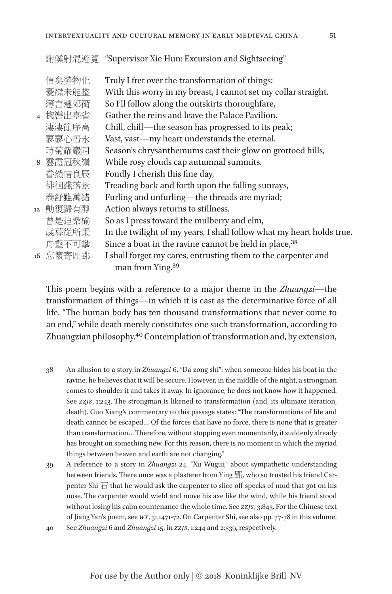謝僕射混遊覽 "Supervisor Xie Hun: Excursion and Sightseeing"

| 信矣勞物化    | Truly I fret over the transformation of things:                       |
|----------|-----------------------------------------------------------------------|
| 憂襟未能整    | With this worry in my breast, I cannot set my collar straight.        |
| 薄言遵郊衢    | So I'll follow along the outskirts thoroughfare,                      |
| 4 揔轡出臺省  | Gather the reins and leave the Palace Pavilion.                       |
| 淒淒節序高    | Chill, chill—the season has progressed to its peak;                   |
| 寥寥心悟永    | Vast, vast-my heart understands the eternal.                          |
| 時菊耀巖阿    | Season's chrysanthemums cast their glow on grottoed hills,            |
| 8 雲霞冠秋嶺  | While rosy clouds cap autumnal summits.                               |
| 眷然惜良辰    | Fondly I cherish this fine day,                                       |
| 徘徊踐落景    | Treading back and forth upon the falling sunrays,                     |
| 卷舒雖萬緒    | Furling and unfurling-the threads are myriad;                         |
| 12 動復歸有靜 | Action always returns to stillness.                                   |
| 曾是迫桑榆    | So as I press toward the mulberry and elm,                            |
| 歲暮從所秉    | In the twilight of my years, I shall follow what my heart holds true. |
| 舟壑不可攀    | Since a boat in the ravine cannot be held in place, 38                |
| 16 忘懷寄匠郢 | I shall forget my cares, entrusting them to the carpenter and         |
|          | man from Ying. <sup>39</sup>                                          |

This poem begins with a reference to a major theme in the *Zhuangzi*—the transformation of things—in which it is cast as the determinative force of all life. "The human body has ten thousand transformations that never come to an end," while death merely constitutes one such transformation, according to Zhuangzian philosophy.40 Contemplation of transformation and, by extension,

- 38 An allusion to a story in *Zhuangzi* 6, "Da zong shi": when someone hides his boat in the ravine, he believes that it will be secure. However, in the middle of the night, a strongman comes to shoulder it and takes it away. In ignorance, he does not know how it happened. See *ZZJS*, 1:243. The strongman is likened to transformation (and, its ultimate iteration, death). Guo Xiang's commentary to this passage states: "The transformations of life and death cannot be escaped… Of the forces that have no force, there is none that is greater than transformation… Therefore, without stopping even momentarily, it suddenly already has brought on something new. For this reason, there is no moment in which the myriad things between heaven and earth are not changing."
- 39 A reference to a story in *Zhuangzi* 24, "Xu Wugui," about sympathetic understanding between friends. There once was a plasterer from Ying  $\exists \beta$ , who so trusted his friend Carpenter Shi  $\overline{A}$  that he would ask the carpenter to slice off specks of mud that got on his nose. The carpenter would wield and move his axe like the wind, while his friend stood without losing his calm countenance the whole time. See *ZZJS*, 3:843. For the Chinese text of Jiang Yan's poem, see *WX*, 31.1471-72. On Carpenter Shi, see also pp. 77-78 in this volume.

<sup>40</sup> See *Zhuangzi* 6 and *Zhuangzi* 15, in *ZZJS*, 1:244 and 2:539, respectively.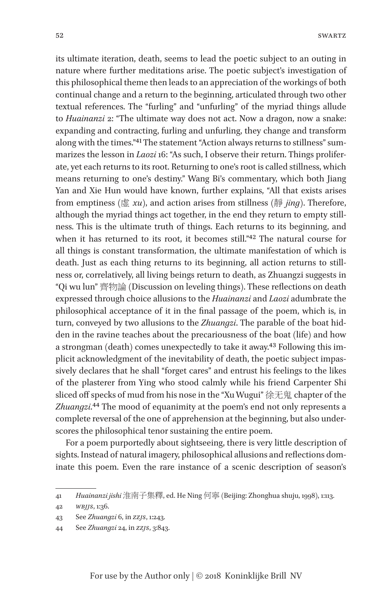its ultimate iteration, death, seems to lead the poetic subject to an outing in nature where further meditations arise. The poetic subject's investigation of this philosophical theme then leads to an appreciation of the workings of both continual change and a return to the beginning, articulated through two other textual references. The "furling" and "unfurling" of the myriad things allude to *Huainanzi* 2: "The ultimate way does not act. Now a dragon, now a snake: expanding and contracting, furling and unfurling, they change and transform along with the times."41 The statement "Action always returns to stillness" summarizes the lesson in *Laozi* 16: "As such, I observe their return. Things proliferate, yet each returns to its root. Returning to one's root is called stillness, which means returning to one's destiny." Wang Bi's commentary, which both Jiang Yan and Xie Hun would have known, further explains, "All that exists arises from emptiness (虛 *xu*), and action arises from stillness (靜 *jing*). Therefore, although the myriad things act together, in the end they return to empty stillness. This is the ultimate truth of things. Each returns to its beginning, and when it has returned to its root, it becomes still."<sup>42</sup> The natural course for all things is constant transformation, the ultimate manifestation of which is death. Just as each thing returns to its beginning, all action returns to stillness or, correlatively, all living beings return to death, as Zhuangzi suggests in "Qi wu lun" 齊物論 (Discussion on leveling things). These reflections on death expressed through choice allusions to the *Huainanzi* and *Laozi* adumbrate the philosophical acceptance of it in the final passage of the poem, which is, in turn, conveyed by two allusions to the *Zhuangzi*. The parable of the boat hidden in the ravine teaches about the precariousness of the boat (life) and how a strongman (death) comes unexpectedly to take it away.<sup>43</sup> Following this implicit acknowledgment of the inevitability of death, the poetic subject impassively declares that he shall "forget cares" and entrust his feelings to the likes of the plasterer from Ying who stood calmly while his friend Carpenter Shi sliced off specks of mud from his nose in the "Xu Wugui" 徐无鬼 chapter of the *Zhuangzi*.44 The mood of equanimity at the poem's end not only represents a complete reversal of the one of apprehension at the beginning, but also underscores the philosophical tenor sustaining the entire poem.

For a poem purportedly about sightseeing, there is very little description of sights. Instead of natural imagery, philosophical allusions and reflections dominate this poem. Even the rare instance of a scenic description of season's

<sup>41</sup> *Huainanzi jishi* 淮南子集釋, ed. He Ning 何寧 (Beijing: Zhonghua shuju, 1998), 1:113.

<sup>42</sup> *WBJJS*, 1:36.

<sup>43</sup> See *Zhuangzi* 6, in *ZZJS*, 1:243.

<sup>44</sup> See *Zhuangzi* 24, in *ZZJS*, 3:843.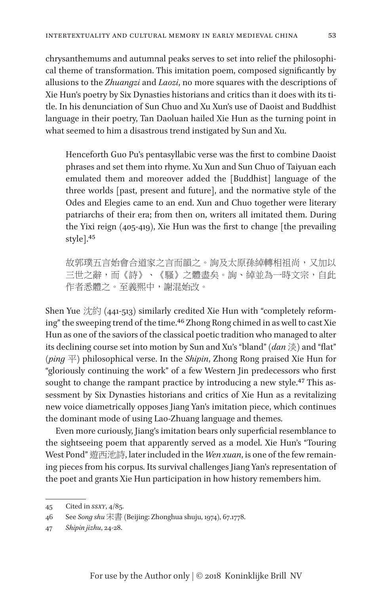chrysanthemums and autumnal peaks serves to set into relief the philosophical theme of transformation. This imitation poem, composed significantly by allusions to the *Zhuangzi* and *Laozi*, no more squares with the descriptions of Xie Hun's poetry by Six Dynasties historians and critics than it does with its title. In his denunciation of Sun Chuo and Xu Xun's use of Daoist and Buddhist language in their poetry, Tan Daoluan hailed Xie Hun as the turning point in what seemed to him a disastrous trend instigated by Sun and Xu.

Henceforth Guo Pu's pentasyllabic verse was the first to combine Daoist phrases and set them into rhyme. Xu Xun and Sun Chuo of Taiyuan each emulated them and moreover added the [Buddhist] language of the three worlds [past, present and future], and the normative style of the Odes and Elegies came to an end. Xun and Chuo together were literary patriarchs of their era; from then on, writers all imitated them. During the Yixi reign (405-419), Xie Hun was the first to change [the prevailing style].45

故郭璞五言始會合道家之言而韻之。詢及太原孫綽轉相祖尚,又加以 三世之辭,而《詩》、《騷》之體盡矣。詢、綽並為一時文宗,自此 作者悉體之。至義熙中,謝混始改。

Shen Yue 沈約 (441-513) similarly credited Xie Hun with "completely reforming" the sweeping trend of the time.46 Zhong Rong chimed in as well to cast Xie Hun as one of the saviors of the classical poetic tradition who managed to alter its declining course set into motion by Sun and Xu's "bland" (*dan* 淡) and "flat" (*ping*  $\overline{\Psi}$ ) philosophical verse. In the *Shipin*, Zhong Rong praised Xie Hun for "gloriously continuing the work" of a few Western Jin predecessors who first sought to change the rampant practice by introducing a new style.<sup>47</sup> This assessment by Six Dynasties historians and critics of Xie Hun as a revitalizing new voice diametrically opposes Jiang Yan's imitation piece, which continues the dominant mode of using Lao-Zhuang language and themes.

Even more curiously, Jiang's imitation bears only superficial resemblance to the sightseeing poem that apparently served as a model. Xie Hun's "Touring West Pond" 遊西池詩, later included in the *Wen xuan*, is one of the few remaining pieces from his corpus. Its survival challenges Jiang Yan's representation of the poet and grants Xie Hun participation in how history remembers him.

<sup>45</sup> Cited in *SSXY*, 4/85.

<sup>46</sup> See *Song shu* 宋書 (Beijing: Zhonghua shuju, 1974), 67.1778.

<sup>47</sup> *Shipin jizhu*, 24-28.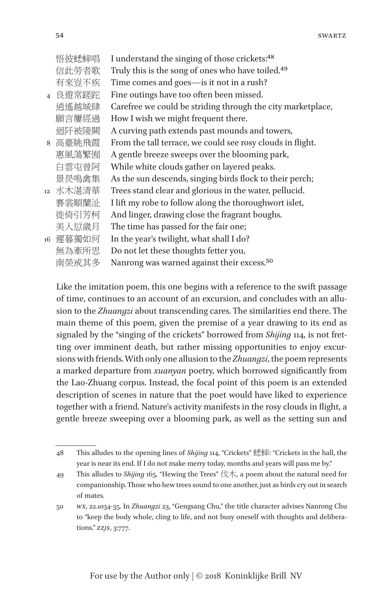| 悟彼蟋蟀唱    | I understand the singing of those crickets:48                 |
|----------|---------------------------------------------------------------|
| 信此勞者歌    | Truly this is the song of ones who have toiled. <sup>49</sup> |
| 有來豈不疾    | Time comes and goes-is it not in a rush?                      |
| 4 良遊常蹉跎  | Fine outings have too often been missed.                      |
| 逍遙越城肆    | Carefree we could be striding through the city marketplace,   |
| 願言屢經過    | How I wish we might frequent there.                           |
| 迴阡被陵闕    | A curving path extends past mounds and towers,                |
| 8 高臺眺飛霞  | From the tall terrace, we could see rosy clouds in flight.    |
| 惠風蕩繁囿    | A gentle breeze sweeps over the blooming park,                |
| 白雲屯曾阿    | While white clouds gather on layered peaks.                   |
| 景昃鳴禽集    | As the sun descends, singing birds flock to their perch;      |
| 12 水木湛清華 | Trees stand clear and glorious in the water, pellucid.        |
| 褰裳順蘭沚    | I lift my robe to follow along the thoroughwort islet,        |
| 徙倚引芳柯    | And linger, drawing close the fragrant boughs.                |
| 美人愆歲月    | The time has passed for the fair one;                         |
| 16 遲暮獨如何 | In the year's twilight, what shall I do?                      |
| 無為牽所思    | Do not let these thoughts fetter you,                         |
| 南榮戒其多    | Nanrong was warned against their excess. <sup>50</sup>        |

Like the imitation poem, this one begins with a reference to the swift passage of time, continues to an account of an excursion, and concludes with an allusion to the *Zhuangzi* about transcending cares. The similarities end there. The main theme of this poem, given the premise of a year drawing to its end as signaled by the "singing of the crickets" borrowed from *Shijing* 114, is not fretting over imminent death, but rather missing opportunities to enjoy excursions with friends. With only one allusion to the *Zhuangzi*, the poem represents a marked departure from *xuanyan* poetry, which borrowed significantly from the Lao-Zhuang corpus. Instead, the focal point of this poem is an extended description of scenes in nature that the poet would have liked to experience together with a friend. Nature's activity manifests in the rosy clouds in flight, a gentle breeze sweeping over a blooming park, as well as the setting sun and

<sup>48</sup> This alludes to the opening lines of *Shijing* 114, "Crickets" 蟋蟀: "Crickets in the hall, the year is near its end. If I do not make merry today, months and years will pass me by."

<sup>49</sup> This alludes to *Shijing* 165, "Hewing the Trees" 伐木, a poem about the natural need for companionship. Those who hew trees sound to one another, just as birds cry out in search of mates.

<sup>50</sup> *WX*, 22.1034-35. In *Zhuangzi* 23, "Gengsang Chu," the title character advises Nanrong Chu to "keep the body whole, cling to life, and not busy oneself with thoughts and deliberations." *ZZJS*, 3:777.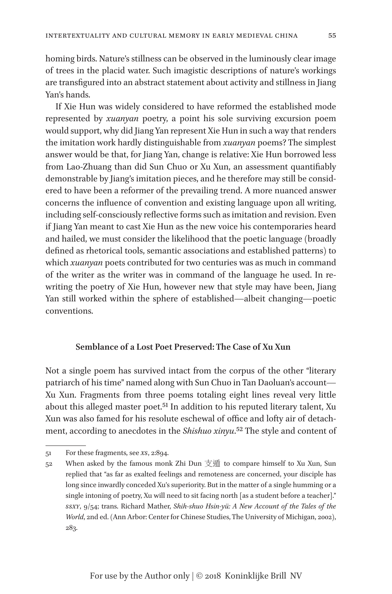homing birds. Nature's stillness can be observed in the luminously clear image of trees in the placid water. Such imagistic descriptions of nature's workings are transfigured into an abstract statement about activity and stillness in Jiang Yan's hands.

If Xie Hun was widely considered to have reformed the established mode represented by *xuanyan* poetry, a point his sole surviving excursion poem would support, why did Jiang Yan represent Xie Hun in such a way that renders the imitation work hardly distinguishable from *xuanyan* poems? The simplest answer would be that, for Jiang Yan, change is relative: Xie Hun borrowed less from Lao-Zhuang than did Sun Chuo or Xu Xun, an assessment quantifiably demonstrable by Jiang's imitation pieces, and he therefore may still be considered to have been a reformer of the prevailing trend. A more nuanced answer concerns the influence of convention and existing language upon all writing, including self-consciously reflective forms such as imitation and revision. Even if Jiang Yan meant to cast Xie Hun as the new voice his contemporaries heard and hailed, we must consider the likelihood that the poetic language (broadly defined as rhetorical tools, semantic associations and established patterns) to which *xuanyan* poets contributed for two centuries was as much in command of the writer as the writer was in command of the language he used. In rewriting the poetry of Xie Hun, however new that style may have been, Jiang Yan still worked within the sphere of established—albeit changing—poetic conventions.

#### **Semblance of a Lost Poet Preserved: The Case of Xu Xun**

Not a single poem has survived intact from the corpus of the other "literary patriarch of his time" named along with Sun Chuo in Tan Daoluan's account— Xu Xun. Fragments from three poems totaling eight lines reveal very little about this alleged master poet.<sup>51</sup> In addition to his reputed literary talent, Xu Xun was also famed for his resolute eschewal of office and lofty air of detachment, according to anecdotes in the *Shishuo xinyu*.52 The style and content of

<sup>51</sup> For these fragments, see *XS*, 2:894.

<sup>52</sup> When asked by the famous monk Zhi Dun 支遁 to compare himself to Xu Xun, Sun replied that "as far as exalted feelings and remoteness are concerned, your disciple has long since inwardly conceded Xu's superiority. But in the matter of a single humming or a single intoning of poetry, Xu will need to sit facing north [as a student before a teacher]." *SSXY*, 9/54; trans. Richard Mather, *Shih-shuo Hsin-yü: A New Account of the Tales of the World*, 2nd ed. (Ann Arbor: Center for Chinese Studies, The University of Michigan, 2002), 283.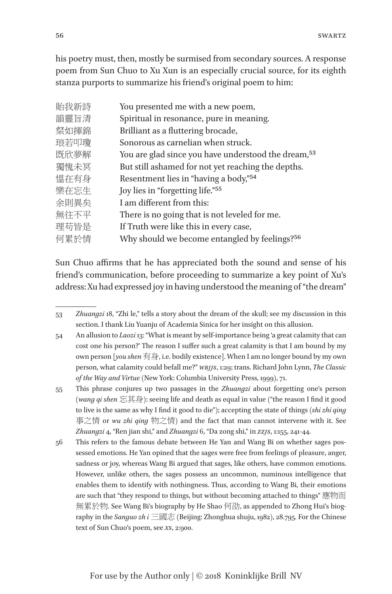his poetry must, then, mostly be surmised from secondary sources. A response poem from Sun Chuo to Xu Xun is an especially crucial source, for its eighth stanza purports to summarize his friend's original poem to him:

| 貽我新詩 | You presented me with a new poem,                               |
|------|-----------------------------------------------------------------|
| 韻靈旨清 | Spiritual in resonance, pure in meaning.                        |
| 粲如揮錦 | Brilliant as a fluttering brocade,                              |
| 琅若叩瓊 | Sonorous as carnelian when struck.                              |
| 既欣夢解 | You are glad since you have understood the dream, <sup>53</sup> |
| 獨愧未冥 | But still ashamed for not yet reaching the depths.              |
| 慍在有身 | Resentment lies in "having a body," <sup>54</sup>               |
| 樂在忘生 | Joy lies in "forgetting life." <sup>55</sup>                    |
| 余則異矣 | I am different from this:                                       |
| 無往不平 | There is no going that is not leveled for me.                   |
| 理苟皆是 | If Truth were like this in every case,                          |
| 何累於情 | Why should we become entangled by feelings? <sup>56</sup>       |
|      |                                                                 |

Sun Chuo affirms that he has appreciated both the sound and sense of his friend's communication, before proceeding to summarize a key point of Xu's address: Xu had expressed joy in having understood the meaning of "the dream"

<sup>53</sup> *Zhuangzi* 18, "Zhi le," tells a story about the dream of the skull; see my discussion in this section. I thank Liu Yuanju of Academia Sinica for her insight on this allusion.

<sup>54</sup> An allusion to *Laozi* 13: "What is meant by self-importance being 'a great calamity that can cost one his person?' The reason I suffer such a great calamity is that I am bound by my own person [*you shen* 有身, i.e. bodily existence]. When I am no longer bound by my own person, what calamity could befall me?" *WBJJS*, 1:29; trans. Richard John Lynn, *The Classic of the Way and Virtue* (New York: Columbia University Press, 1999), 71.

<sup>55</sup> This phrase conjures up two passages in the *Zhuangzi* about forgetting one's person (*wang qi shen* 忘其身): seeing life and death as equal in value ("the reason I find it good to live is the same as why I find it good to die"); accepting the state of things (*shi zhi qing* 事之情 or *wu zhi qing* 物之情) and the fact that man cannot intervene with it. See *Zhuangzi* 4, "Ren jian shi," and *Zhuangzi* 6, "Da zong shi," in *ZZJS*, 1:155, 241-44.

<sup>56</sup> This refers to the famous debate between He Yan and Wang Bi on whether sages possessed emotions. He Yan opined that the sages were free from feelings of pleasure, anger, sadness or joy, whereas Wang Bi argued that sages, like others, have common emotions. However, unlike others, the sages possess an uncommon, numinous intelligence that enables them to identify with nothingness. Thus, according to Wang Bi, their emotions are such that "they respond to things, but without becoming attached to things" 應物而 無累於物. See Wang Bi's biography by He Shao 何劭, as appended to Zhong Hui's biography in the *Sanguo zh i* 三國志 (Beijing: Zhonghua shuju, 1982), 28.795. For the Chinese text of Sun Chuo's poem, see *XS*, 2:900.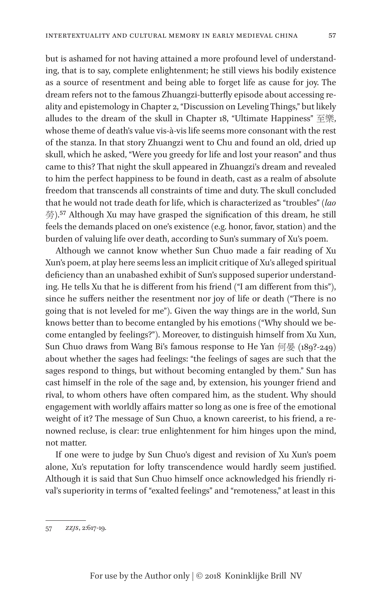but is ashamed for not having attained a more profound level of understanding, that is to say, complete enlightenment; he still views his bodily existence as a source of resentment and being able to forget life as cause for joy. The dream refers not to the famous Zhuangzi-butterfly episode about accessing reality and epistemology in Chapter 2, "Discussion on Leveling Things," but likely alludes to the dream of the skull in Chapter 18, "Ultimate Happiness" 至樂, whose theme of death's value vis-à-vis life seems more consonant with the rest of the stanza. In that story Zhuangzi went to Chu and found an old, dried up skull, which he asked, "Were you greedy for life and lost your reason" and thus came to this? That night the skull appeared in Zhuangzi's dream and revealed to him the perfect happiness to be found in death, cast as a realm of absolute freedom that transcends all constraints of time and duty. The skull concluded that he would not trade death for life, which is characterized as "troubles" (*lao* 勞).57 Although Xu may have grasped the signification of this dream, he still feels the demands placed on one's existence (e.g. honor, favor, station) and the burden of valuing life over death, according to Sun's summary of Xu's poem.

Although we cannot know whether Sun Chuo made a fair reading of Xu Xun's poem, at play here seems less an implicit critique of Xu's alleged spiritual deficiency than an unabashed exhibit of Sun's supposed superior understanding. He tells Xu that he is different from his friend ("I am different from this"), since he suffers neither the resentment nor joy of life or death ("There is no going that is not leveled for me"). Given the way things are in the world, Sun knows better than to become entangled by his emotions ("Why should we become entangled by feelings?"). Moreover, to distinguish himself from Xu Xun, Sun Chuo draws from Wang Bi's famous response to He Yan 何晏 (189?-249) about whether the sages had feelings: "the feelings of sages are such that the sages respond to things, but without becoming entangled by them." Sun has cast himself in the role of the sage and, by extension, his younger friend and rival, to whom others have often compared him, as the student. Why should engagement with worldly affairs matter so long as one is free of the emotional weight of it? The message of Sun Chuo, a known careerist, to his friend, a renowned recluse, is clear: true enlightenment for him hinges upon the mind, not matter.

If one were to judge by Sun Chuo's digest and revision of Xu Xun's poem alone, Xu's reputation for lofty transcendence would hardly seem justified. Although it is said that Sun Chuo himself once acknowledged his friendly rival's superiority in terms of "exalted feelings" and "remoteness," at least in this

<sup>57</sup> *ZZJS*, 2:617-19.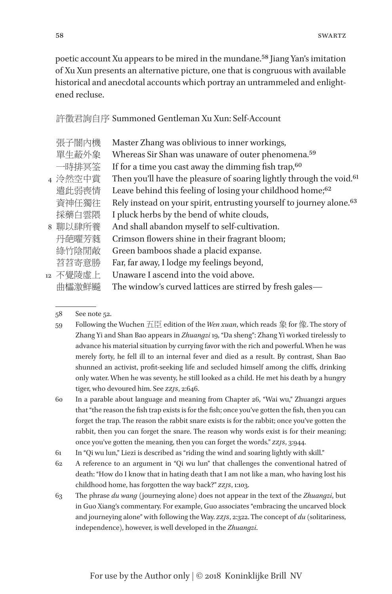poetic account Xu appears to be mired in the mundane.58 Jiang Yan's imitation of Xu Xun presents an alternative picture, one that is congruous with available historical and anecdotal accounts which portray an untrammeled and enlightened recluse.

許徵君詢自序 Summoned Gentleman Xu Xun: Self-Account

| 張子闇內機    | Master Zhang was oblivious to inner workings,                                    |
|----------|----------------------------------------------------------------------------------|
| 單生蔽外象    | Whereas Sir Shan was unaware of outer phenomena. <sup>59</sup>                   |
| 一時排冥筌    | If for a time you cast away the dimming fish trap, <sup>60</sup>                 |
| 4 冷然空中賞  | Then you'll have the pleasure of soaring lightly through the void. <sup>61</sup> |
| 遣此弱喪情    | Leave behind this feeling of losing your childhood home; <sup>62</sup>           |
| 資神任獨往    | Rely instead on your spirit, entrusting yourself to journey alone. <sup>63</sup> |
| 採藥白雲隈    | I pluck herbs by the bend of white clouds,                                       |
| 8 聊以肆所養  | And shall abandon myself to self-cultivation.                                    |
| 丹葩曜芳蕤    | Crimson flowers shine in their fragrant bloom;                                   |
| 綠竹陰閒敞    | Green bamboos shade a placid expanse.                                            |
| 苕苕寄意勝    | Far, far away, I lodge my feelings beyond,                                       |
| 12 不覺陵虛上 | Unaware I ascend into the void above.                                            |
| 曲櫺激鮮飇    | The window's curved lattices are stirred by fresh gales-                         |

<sup>58</sup> See note 52.

<sup>59</sup> Following the Wuchen 五臣 edition of the *Wen xuan*, which reads 象 for 像. The story of Zhang Yi and Shan Bao appears in *Zhuangzi* 19, "Da sheng": Zhang Yi worked tirelessly to advance his material situation by currying favor with the rich and powerful. When he was merely forty, he fell ill to an internal fever and died as a result. By contrast, Shan Bao shunned an activist, profit-seeking life and secluded himself among the cliffs, drinking only water. When he was seventy, he still looked as a child. He met his death by a hungry tiger, who devoured him. See *ZZJS*, 2:646.

<sup>60</sup> In a parable about language and meaning from Chapter 26, "Wai wu," Zhuangzi argues that "the reason the fish trap exists is for the fish; once you've gotten the fish, then you can forget the trap. The reason the rabbit snare exists is for the rabbit; once you've gotten the rabbit, then you can forget the snare. The reason why words exist is for their meaning; once you've gotten the meaning, then you can forget the words." *ZZJS*, 3:944.

<sup>61</sup> In "Qi wu lun," Liezi is described as "riding the wind and soaring lightly with skill."

<sup>62</sup> A reference to an argument in "Qi wu lun" that challenges the conventional hatred of death: "How do I know that in hating death that I am not like a man, who having lost his childhood home, has forgotten the way back?" *ZZJS*, 1:103.

<sup>63</sup> The phrase *du wang* (journeying alone) does not appear in the text of the *Zhuangzi*, but in Guo Xiang's commentary. For example, Guo associates "embracing the uncarved block and journeying alone" with following the Way. *ZZJS*, 2:322. The concept of *du* (solitariness, independence), however, is well developed in the *Zhuangzi*.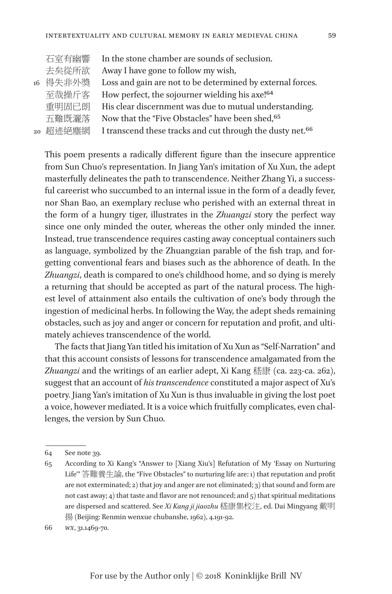石室有幽響 In the stone chamber are sounds of seclusion. 去矣從所欲 Away I have gone to follow my wish, 16 得失非外獎 Loss and gain are not to be determined by external forces. 至哉操斤客 How perfect, the sojourner wielding his axe!<sup>64</sup> 重明固已朗 His clear discernment was due to mutual understanding. 五難既灑落 Now that the "Five Obstacles" have been shed,65 20 超迹絕塵網 I transcend these tracks and cut through the dusty net.<sup>66</sup>

This poem presents a radically different figure than the insecure apprentice from Sun Chuo's representation. In Jiang Yan's imitation of Xu Xun, the adept masterfully delineates the path to transcendence. Neither Zhang Yi, a successful careerist who succumbed to an internal issue in the form of a deadly fever, nor Shan Bao, an exemplary recluse who perished with an external threat in the form of a hungry tiger, illustrates in the *Zhuangzi* story the perfect way since one only minded the outer, whereas the other only minded the inner. Instead, true transcendence requires casting away conceptual containers such as language, symbolized by the Zhuangzian parable of the fish trap, and forgetting conventional fears and biases such as the abhorence of death. In the *Zhuangzi*, death is compared to one's childhood home, and so dying is merely a returning that should be accepted as part of the natural process. The highest level of attainment also entails the cultivation of one's body through the ingestion of medicinal herbs. In following the Way, the adept sheds remaining obstacles, such as joy and anger or concern for reputation and profit, and ultimately achieves transcendence of the world.

The facts that Jiang Yan titled his imitation of Xu Xun as "Self-Narration" and that this account consists of lessons for transcendence amalgamated from the *Zhuangzi* and the writings of an earlier adept, Xi Kang 嵇康 (ca. 223-ca. 262), suggest that an account of *his transcendence* constituted a major aspect of Xu's poetry. Jiang Yan's imitation of Xu Xun is thus invaluable in giving the lost poet a voice, however mediated. It is a voice which fruitfully complicates, even challenges, the version by Sun Chuo.

<sup>64</sup> See note 39.

<sup>65</sup> According to Xi Kang's "Answer to [Xiang Xiu's] Refutation of My 'Essay on Nurturing Life'" 答難養生論, the "Five Obstacles" to nurturing life are: 1) that reputation and profit are not exterminated; 2) that joy and anger are not eliminated; 3) that sound and form are not cast away; 4) that taste and flavor are not renounced; and 5) that spiritual meditations are dispersed and scattered. See *Xi Kang ji jiaozhu* 嵇康集校注, ed. Dai Mingyang 戴明 揚 (Beijing: Renmin wenxue chubanshe, 1962), 4.191-92.

<sup>66</sup> *WX*, 31.1469-70.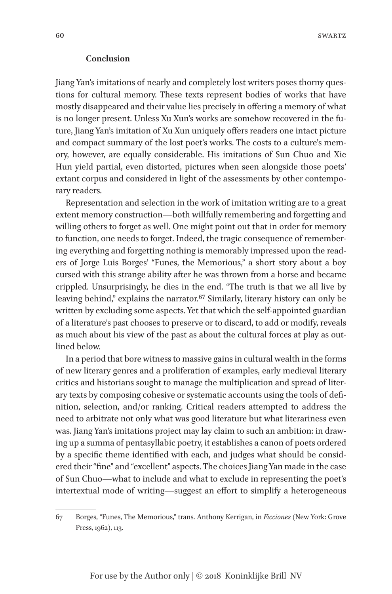#### **Conclusion**

Jiang Yan's imitations of nearly and completely lost writers poses thorny questions for cultural memory. These texts represent bodies of works that have mostly disappeared and their value lies precisely in offering a memory of what is no longer present. Unless Xu Xun's works are somehow recovered in the future, Jiang Yan's imitation of Xu Xun uniquely offers readers one intact picture and compact summary of the lost poet's works. The costs to a culture's memory, however, are equally considerable. His imitations of Sun Chuo and Xie Hun yield partial, even distorted, pictures when seen alongside those poets' extant corpus and considered in light of the assessments by other contemporary readers.

Representation and selection in the work of imitation writing are to a great extent memory construction—both willfully remembering and forgetting and willing others to forget as well. One might point out that in order for memory to function, one needs to forget. Indeed, the tragic consequence of remembering everything and forgetting nothing is memorably impressed upon the readers of Jorge Luis Borges' "Funes, the Memorious," a short story about a boy cursed with this strange ability after he was thrown from a horse and became crippled. Unsurprisingly, he dies in the end. "The truth is that we all live by leaving behind," explains the narrator.<sup>67</sup> Similarly, literary history can only be written by excluding some aspects. Yet that which the self-appointed guardian of a literature's past chooses to preserve or to discard, to add or modify, reveals as much about his view of the past as about the cultural forces at play as outlined below.

In a period that bore witness to massive gains in cultural wealth in the forms of new literary genres and a proliferation of examples, early medieval literary critics and historians sought to manage the multiplication and spread of literary texts by composing cohesive or systematic accounts using the tools of definition, selection, and/or ranking. Critical readers attempted to address the need to arbitrate not only what was good literature but what literariness even was. Jiang Yan's imitations project may lay claim to such an ambition: in drawing up a summa of pentasyllabic poetry, it establishes a canon of poets ordered by a specific theme identified with each, and judges what should be considered their "fine" and "excellent" aspects. The choices Jiang Yan made in the case of Sun Chuo—what to include and what to exclude in representing the poet's intertextual mode of writing—suggest an effort to simplify a heterogeneous

<sup>67</sup> Borges, "Funes, The Memorious," trans. Anthony Kerrigan, in *Ficciones* (New York: Grove Press, 1962), 113.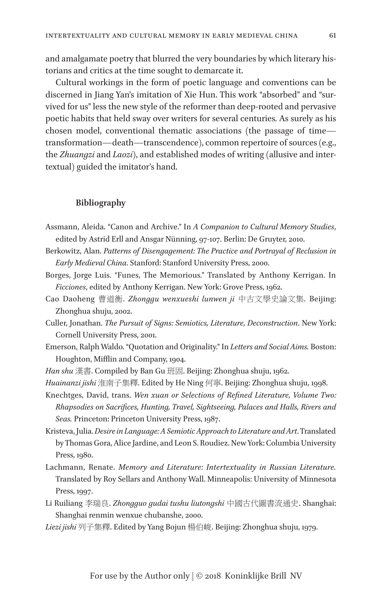and amalgamate poetry that blurred the very boundaries by which literary historians and critics at the time sought to demarcate it.

Cultural workings in the form of poetic language and conventions can be discerned in Jiang Yan's imitation of Xie Hun. This work "absorbed" and "survived for us" less the new style of the reformer than deep-rooted and pervasive poetic habits that held sway over writers for several centuries. As surely as his chosen model, conventional thematic associations (the passage of time transformation—death—transcendence), common repertoire of sources (e.g., the *Zhuangzi* and *Laozi*), and established modes of writing (allusive and intertextual) guided the imitator's hand.

#### **Bibliography**

- Assmann, Aleida. "Canon and Archive." In *A Companion to Cultural Memory Studies*, edited by Astrid Erll and Ansgar Nünning, 97-107. Berlin: De Gruyter, 2010.
- Berkowitz, Alan. *Patterns of Disengagement: The Practice and Portrayal of Reclusion in Early Medieval China*. Stanford: Stanford University Press, 2000.
- Borges, Jorge Luis. "Funes, The Memorious." Translated by Anthony Kerrigan. In *Ficciones*, edited by Anthony Kerrigan. New York: Grove Press, 1962.
- Cao Daoheng 曹道衡. *Zhonggu wenxueshi lunwen ji* 中古文學史論文集. Beijing: Zhonghua shuju, 2002.
- Culler, Jonathan. *The Pursuit of Signs: Semiotics, Literature, Deconstruction*. New York: Cornell University Press, 2001.
- Emerson, Ralph Waldo. "Quotation and Originality." In *Letters and Social Aims.* Boston: Houghton, Mifflin and Company, 1904.
- *Han shu* 漢書. Compiled by Ban Gu 班固. Beijing: Zhonghua shuju, 1962.
- *Huainanzi jishi* 淮南子集釋. Edited by He Ning 何寧. Beijing: Zhonghua shuju, 1998.
- Knechtges, David, trans. *Wen xuan or Selections of Refined Literature, Volume Two: Rhapsodies on Sacrifices, Hunting, Travel, Sightseeing, Palaces and Halls, Rivers and Seas.* Princeton: Princeton University Press, 1987.
- Kristeva, Julia. *Desire in Language: A Semiotic Approach to Literature and Art*. Translated by Thomas Gora, Alice Jardine, and Leon S. Roudiez. New York: Columbia University Press, 1980.
- Lachmann, Renate. *Memory and Literature: Intertextuality in Russian Literature.* Translated by Roy Sellars and Anthony Wall. Minneapolis: University of Minnesota Press, 1997.
- Li Ruiliang 李瑞良. *Zhongguo gudai tushu liutongshi* 中國古代圖書流通史. Shanghai: Shanghai renmin wenxue chubanshe, 2000.
- *Liezi jishi* 列子集釋. Edited by Yang Bojun 楊伯峻. Beijing: Zhonghua shuju, 1979.